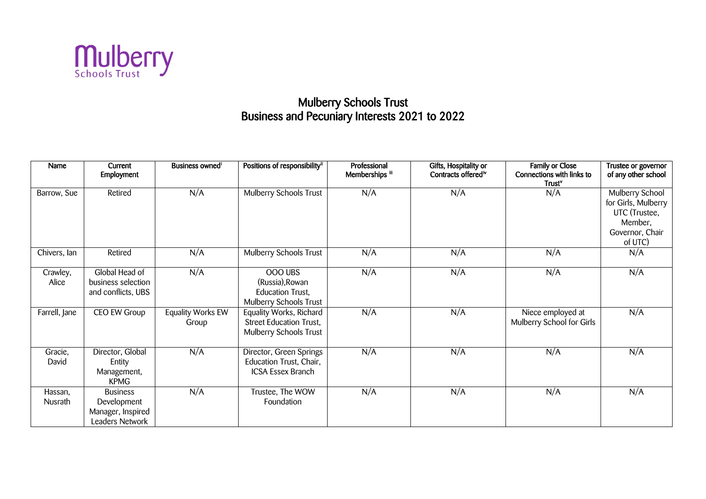

## **Mulberry Schools Trust** Business and Pecuniary Interests 2021 to 2022

| <b>Name</b>               | Current<br>Employment                                                  | Business owned <sup>i</sup> | Positions of responsibility <sup>ii</sup>                                           | Professional<br>Memberships iii | Gifts, Hospitality or<br>Contracts offered <sup>tv</sup> | Family or Close<br>Connections with links to<br>Trust <sup>v</sup> | Trustee or governor<br>of any other school                                                       |
|---------------------------|------------------------------------------------------------------------|-----------------------------|-------------------------------------------------------------------------------------|---------------------------------|----------------------------------------------------------|--------------------------------------------------------------------|--------------------------------------------------------------------------------------------------|
| Barrow, Sue               | Retired                                                                | N/A                         | <b>Mulberry Schools Trust</b>                                                       | N/A                             | N/A                                                      | N/A                                                                | Mulberry School<br>for Girls, Mulberry<br>UTC (Trustee,<br>Member,<br>Governor, Chair<br>of UTC) |
| Chivers, lan              | Retired                                                                | N/A                         | Mulberry Schools Trust                                                              | N/A                             | N/A                                                      | N/A                                                                | N/A                                                                                              |
| Crawley,<br>Alice         | Global Head of<br>business selection<br>and conflicts, UBS             | N/A                         | OOO UBS<br>(Russia), Rowan<br><b>Education Trust,</b><br>Mulberry Schools Trust     | N/A                             | N/A                                                      | N/A                                                                | N/A                                                                                              |
| Farrell, Jane             | CEO EW Group                                                           | Equality Works EW<br>Group  | Equality Works, Richard<br><b>Street Education Trust,</b><br>Mulberry Schools Trust | N/A                             | N/A                                                      | Niece employed at<br>Mulberry School for Girls                     | N/A                                                                                              |
| Gracie,<br>David          | Director, Global<br>Entity<br>Management,<br><b>KPMG</b>               | N/A                         | Director, Green Springs<br>Education Trust, Chair,<br><b>ICSA Essex Branch</b>      | N/A                             | N/A                                                      | N/A                                                                | N/A                                                                                              |
| Hassan,<br><b>Nusrath</b> | <b>Business</b><br>Development<br>Manager, Inspired<br>Leaders Network | N/A                         | Trustee, The WOW<br>Foundation                                                      | N/A                             | N/A                                                      | N/A                                                                | N/A                                                                                              |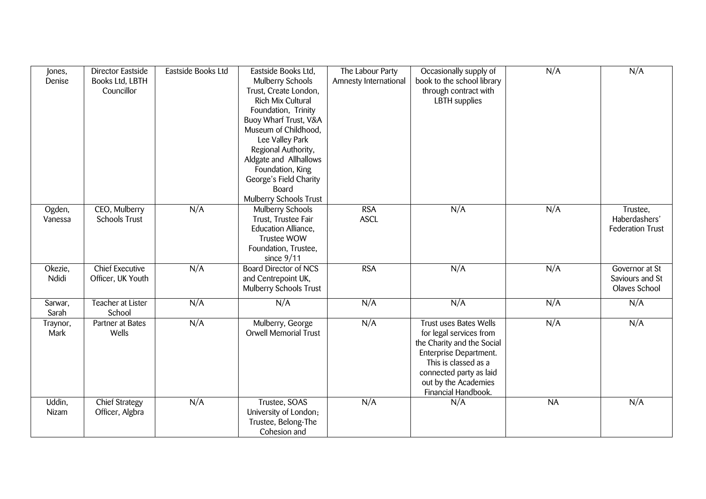| Jones,<br>Denise  | Director Eastside<br>Books Ltd, LBTH<br>Councillor | Eastside Books Ltd | Eastside Books Ltd,<br>Mulberry Schools<br>Trust, Create London,<br>Rich Mix Cultural<br>Foundation, Trinity<br>Buoy Wharf Trust, V&A<br>Museum of Childhood,<br>Lee Valley Park<br>Regional Authority,<br>Aldgate and Allhallows<br>Foundation, King<br>George's Field Charity<br>Board<br><b>Mulberry Schools Trust</b> | The Labour Party<br>Amnesty International | Occasionally supply of<br>book to the school library<br>through contract with<br><b>LBTH</b> supplies                                                                                                              | N/A       | N/A                                                  |
|-------------------|----------------------------------------------------|--------------------|---------------------------------------------------------------------------------------------------------------------------------------------------------------------------------------------------------------------------------------------------------------------------------------------------------------------------|-------------------------------------------|--------------------------------------------------------------------------------------------------------------------------------------------------------------------------------------------------------------------|-----------|------------------------------------------------------|
| Ogden,<br>Vanessa | CEO, Mulberry<br><b>Schools Trust</b>              | N/A                | <b>Mulberry Schools</b><br>Trust, Trustee Fair<br>Education Alliance,<br><b>Trustee WOW</b><br>Foundation, Trustee,<br>since $9/11$                                                                                                                                                                                       | <b>RSA</b><br><b>ASCL</b>                 | N/A                                                                                                                                                                                                                | N/A       | Trustee,<br>Haberdashers'<br><b>Federation Trust</b> |
| Okezie,<br>Ndidi  | <b>Chief Executive</b><br>Officer, UK Youth        | N/A                | <b>Board Director of NCS</b><br>and Centrepoint UK,<br>Mulberry Schools Trust                                                                                                                                                                                                                                             | <b>RSA</b>                                | N/A                                                                                                                                                                                                                | N/A       | Governor at St<br>Saviours and St<br>Olaves School   |
| Sarwar,<br>Sarah  | Teacher at Lister<br>School                        | N/A                | N/A                                                                                                                                                                                                                                                                                                                       | N/A                                       | N/A                                                                                                                                                                                                                | N/A       | N/A                                                  |
| Traynor,<br>Mark  | Partner at Bates<br>Wells                          | N/A                | Mulberry, George<br><b>Orwell Memorial Trust</b>                                                                                                                                                                                                                                                                          | N/A                                       | <b>Trust uses Bates Wells</b><br>for legal services from<br>the Charity and the Social<br>Enterprise Department.<br>This is classed as a<br>connected party as laid<br>out by the Academies<br>Financial Handbook. | N/A       | N/A                                                  |
| Uddin,<br>Nizam   | <b>Chief Strategy</b><br>Officer, Algbra           | N/A                | Trustee, SOAS<br>University of London;<br>Trustee, Belong-The<br>Cohesion and                                                                                                                                                                                                                                             | N/A                                       | N/A                                                                                                                                                                                                                | <b>NA</b> | N/A                                                  |